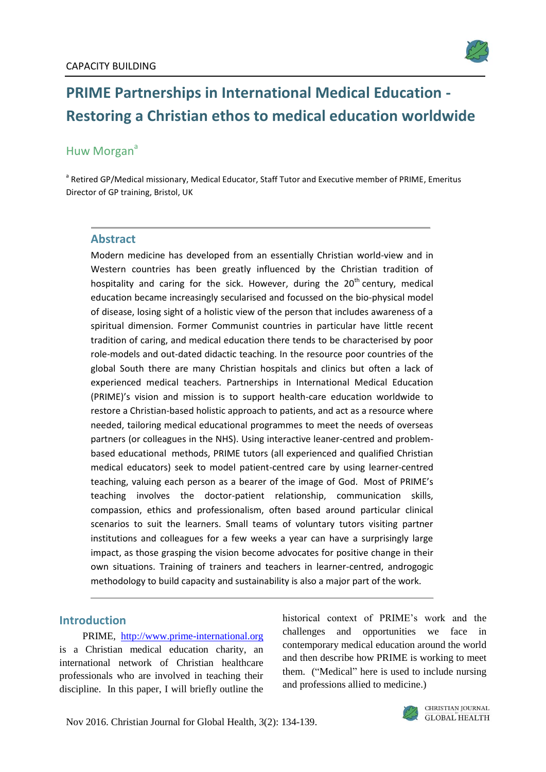

# **PRIME Partnerships in International Medical Education - Restoring a Christian ethos to medical education worldwide**

# Huw Morgan<sup>a</sup>

<sup>a</sup> Retired GP/Medical missionary, Medical Educator, Staff Tutor and Executive member of PRIME, Emeritus Director of GP training, Bristol, UK

#### **Abstract**

Modern medicine has developed from an essentially Christian world-view and in Western countries has been greatly influenced by the Christian tradition of hospitality and caring for the sick. However, during the 20<sup>th</sup> century, medical education became increasingly secularised and focussed on the bio-physical model of disease, losing sight of a holistic view of the person that includes awareness of a spiritual dimension. Former Communist countries in particular have little recent tradition of caring, and medical education there tends to be characterised by poor role-models and out-dated didactic teaching. In the resource poor countries of the global South there are many Christian hospitals and clinics but often a lack of experienced medical teachers. Partnerships in International Medical Education (PRIME)'s vision and mission is to support health-care education worldwide to restore a Christian-based holistic approach to patients, and act as a resource where needed, tailoring medical educational programmes to meet the needs of overseas partners (or colleagues in the NHS). Using interactive leaner-centred and problembased educational methods, PRIME tutors (all experienced and qualified Christian medical educators) seek to model patient-centred care by using learner-centred teaching, valuing each person as a bearer of the image of God. Most of PRIME's teaching involves the doctor-patient relationship, communication skills, compassion, ethics and professionalism, often based around particular clinical scenarios to suit the learners. Small teams of voluntary tutors visiting partner institutions and colleagues for a few weeks a year can have a surprisingly large impact, as those grasping the vision become advocates for positive change in their own situations. Training of trainers and teachers in learner-centred, androgogic methodology to build capacity and sustainability is also a major part of the work.

#### **Introduction**

PRIME, [http://www.prime-international.org](http://www.prime-international.org/) is a Christian medical education charity, an international network of Christian healthcare professionals who are involved in teaching their discipline. In this paper, I will briefly outline the historical context of PRIME's work and the challenges and opportunities we face in contemporary medical education around the world and then describe how PRIME is working to meet them. ("Medical" here is used to include nursing and professions allied to medicine.)

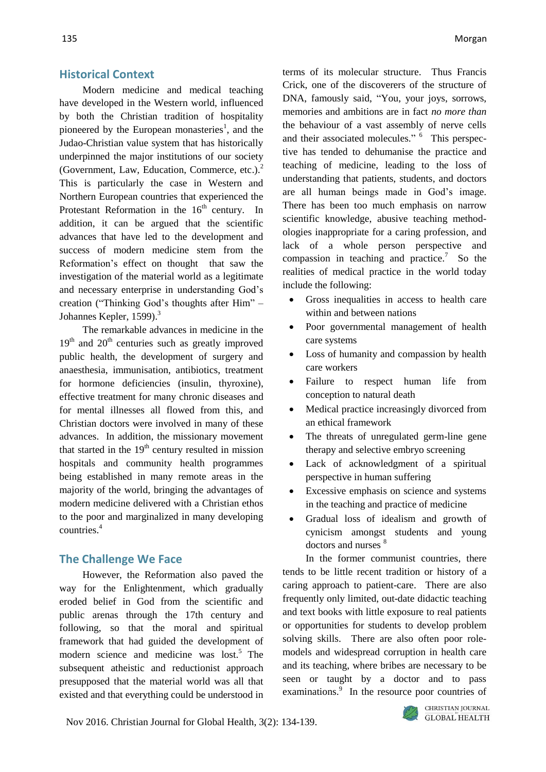#### **Historical Context**

Modern medicine and medical teaching have developed in the Western world, influenced by both the Christian tradition of hospitality pioneered by the European monasteries<sup>1</sup>, and the Judao-Christian value system that has historically underpinned the major institutions of our society (Government, Law, Education, Commerce, etc.).<sup>2</sup> This is particularly the case in Western and Northern European countries that experienced the Protestant Reformation in the  $16<sup>th</sup>$  century. In addition, it can be argued that the scientific advances that have led to the development and success of modern medicine stem from the Reformation's effect on thought that saw the investigation of the material world as a legitimate and necessary enterprise in understanding God's creation ("Thinking God's thoughts after Him" – Johannes Kepler, 1599).<sup>3</sup>

The remarkable advances in medicine in the  $19<sup>th</sup>$  and  $20<sup>th</sup>$  centuries such as greatly improved public health, the development of surgery and anaesthesia, immunisation, antibiotics, treatment for hormone deficiencies (insulin, thyroxine), effective treatment for many chronic diseases and for mental illnesses all flowed from this, and Christian doctors were involved in many of these advances. In addition, the missionary movement that started in the  $19<sup>th</sup>$  century resulted in mission hospitals and community health programmes being established in many remote areas in the majority of the world, bringing the advantages of modern medicine delivered with a Christian ethos to the poor and marginalized in many developing countries.<sup>4</sup>

## **The Challenge We Face**

However, the Reformation also paved the way for the Enlightenment, which gradually eroded belief in God from the scientific and public arenas through the 17th century and following, so that the moral and spiritual framework that had guided the development of modern science and medicine was  $lost<sup>5</sup>$ . The subsequent atheistic and reductionist approach presupposed that the material world was all that existed and that everything could be understood in terms of its molecular structure. Thus Francis Crick, one of the discoverers of the structure of DNA, famously said, "You, your joys, sorrows, memories and ambitions are in fact *no more than* the behaviour of a vast assembly of nerve cells and their associated molecules." <sup>6</sup> This perspective has tended to dehumanise the practice and teaching of medicine, leading to the loss of understanding that patients, students, and doctors are all human beings made in God's image. There has been too much emphasis on narrow scientific knowledge, abusive teaching methodologies inappropriate for a caring profession, and lack of a whole person perspective and compassion in teaching and practice.<sup>7</sup> So the realities of medical practice in the world today include the following:

- Gross inequalities in access to health care within and between nations
- Poor governmental management of health care systems
- Loss of humanity and compassion by health care workers
- Failure to respect human life from conception to natural death
- Medical practice increasingly divorced from an ethical framework
- The threats of unregulated germ-line gene therapy and selective embryo screening
- Lack of acknowledgment of a spiritual perspective in human suffering
- Excessive emphasis on science and systems in the teaching and practice of medicine
- Gradual loss of idealism and growth of cynicism amongst students and young doctors and nurses <sup>8</sup>

In the former communist countries, there tends to be little recent tradition or history of a caring approach to patient-care. There are also frequently only limited, out-date didactic teaching and text books with little exposure to real patients or opportunities for students to develop problem solving skills. There are also often poor rolemodels and widespread corruption in health care and its teaching, where bribes are necessary to be seen or taught by a doctor and to pass examinations.<sup>9</sup> In the resource poor countries of

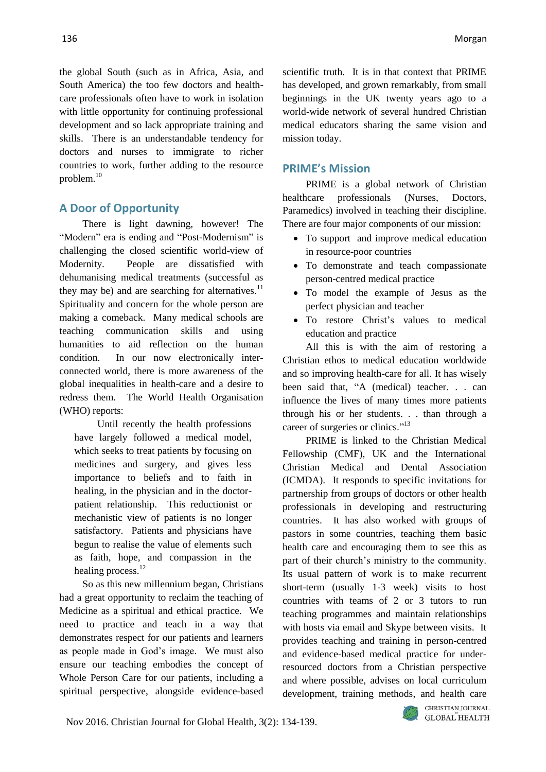the global South (such as in Africa, Asia, and South America) the too few doctors and healthcare professionals often have to work in isolation with little opportunity for continuing professional development and so lack appropriate training and skills. There is an understandable tendency for doctors and nurses to immigrate to richer countries to work, further adding to the resource problem. 10

## **A Door of Opportunity**

There is light dawning, however! The "Modern" era is ending and "Post-Modernism" is challenging the closed scientific world-view of Modernity. People are dissatisfied with dehumanising medical treatments (successful as they may be) and are searching for alternatives. $11$ Spirituality and concern for the whole person are making a comeback. Many medical schools are teaching communication skills and using humanities to aid reflection on the human condition. In our now electronically interconnected world, there is more awareness of the global inequalities in health-care and a desire to redress them. The World Health Organisation (WHO) reports:

Until recently the health professions have largely followed a medical model, which seeks to treat patients by focusing on medicines and surgery, and gives less importance to beliefs and to faith in healing, in the physician and in the doctorpatient relationship. This reductionist or mechanistic view of patients is no longer satisfactory. Patients and physicians have begun to realise the value of elements such as faith, hope, and compassion in the healing process.<sup>12</sup>

So as this new millennium began, Christians had a great opportunity to reclaim the teaching of Medicine as a spiritual and ethical practice. We need to practice and teach in a way that demonstrates respect for our patients and learners as people made in God's image. We must also ensure our teaching embodies the concept of Whole Person Care for our patients, including a spiritual perspective, alongside evidence-based

scientific truth. It is in that context that PRIME has developed, and grown remarkably, from small beginnings in the UK twenty years ago to a world-wide network of several hundred Christian medical educators sharing the same vision and mission today.

#### **PRIME's Mission**

PRIME is a global network of Christian healthcare professionals (Nurses, Doctors, Paramedics) involved in teaching their discipline. There are four major components of our mission:

- To support and improve medical education in resource-poor countries
- To demonstrate and teach compassionate person-centred medical practice
- To model the example of Jesus as the perfect physician and teacher
- To restore Christ's values to medical education and practice

All this is with the aim of restoring a Christian ethos to medical education worldwide and so improving health-care for all. It has wisely been said that, "A (medical) teacher. . . can influence the lives of many times more patients through his or her students. . . than through a career of surgeries or clinics."<sup>13</sup>

PRIME is linked to the Christian Medical Fellowship (CMF), UK and the International Christian Medical and Dental Association (ICMDA). It responds to specific invitations for partnership from groups of doctors or other health professionals in developing and restructuring countries. It has also worked with groups of pastors in some countries, teaching them basic health care and encouraging them to see this as part of their church's ministry to the community. Its usual pattern of work is to make recurrent short-term (usually 1-3 week) visits to host countries with teams of 2 or 3 tutors to run teaching programmes and maintain relationships with hosts via email and Skype between visits. It provides teaching and training in person-centred and evidence-based medical practice for underresourced doctors from a Christian perspective and where possible, advises on local curriculum development, training methods, and health care

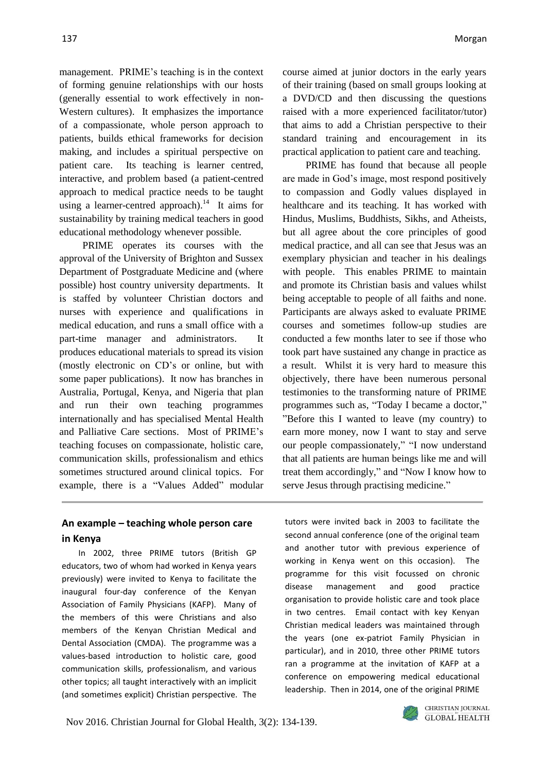management. PRIME's teaching is in the context of forming genuine relationships with our hosts (generally essential to work effectively in non-Western cultures). It emphasizes the importance of a compassionate, whole person approach to patients, builds ethical frameworks for decision making, and includes a spiritual perspective on patient care. Its teaching is learner centred, interactive, and problem based (a patient-centred approach to medical practice needs to be taught using a learner-centred approach).<sup>14</sup> It aims for sustainability by training medical teachers in good educational methodology whenever possible.

PRIME operates its courses with the approval of the University of Brighton and Sussex Department of Postgraduate Medicine and (where possible) host country university departments. It is staffed by volunteer Christian doctors and nurses with experience and qualifications in medical education, and runs a small office with a part-time manager and administrators. It produces educational materials to spread its vision (mostly electronic on CD's or online, but with some paper publications). It now has branches in Australia, Portugal, Kenya, and Nigeria that plan and run their own teaching programmes internationally and has specialised Mental Health and Palliative Care sections. Most of PRIME's teaching focuses on compassionate, holistic care, communication skills, professionalism and ethics sometimes structured around clinical topics. For example, there is a "Values Added" modular

course aimed at junior doctors in the early years of their training (based on small groups looking at a DVD/CD and then discussing the questions raised with a more experienced facilitator/tutor) that aims to add a Christian perspective to their standard training and encouragement in its practical application to patient care and teaching.

PRIME has found that because all people are made in God's image, most respond positively to compassion and Godly values displayed in healthcare and its teaching. It has worked with Hindus, Muslims, Buddhists, Sikhs, and Atheists, but all agree about the core principles of good medical practice, and all can see that Jesus was an exemplary physician and teacher in his dealings with people. This enables PRIME to maintain and promote its Christian basis and values whilst being acceptable to people of all faiths and none. Participants are always asked to evaluate PRIME courses and sometimes follow-up studies are conducted a few months later to see if those who took part have sustained any change in practice as a result. Whilst it is very hard to measure this objectively, there have been numerous personal testimonies to the transforming nature of PRIME programmes such as, "Today I became a doctor," "Before this I wanted to leave (my country) to earn more money, now I want to stay and serve our people compassionately," "I now understand that all patients are human beings like me and will treat them accordingly," and "Now I know how to serve Jesus through practising medicine."

## **An example – teaching whole person care in Kenya**

In 2002, three PRIME tutors (British GP educators, two of whom had worked in Kenya years previously) were invited to Kenya to facilitate the inaugural four-day conference of the Kenyan Association of Family Physicians (KAFP). Many of the members of this were Christians and also members of the Kenyan Christian Medical and Dental Association (CMDA). The programme was a values-based introduction to holistic care, good communication skills, professionalism, and various other topics; all taught interactively with an implicit (and sometimes explicit) Christian perspective. The tutors were invited back in 2003 to facilitate the second annual conference (one of the original team and another tutor with previous experience of working in Kenya went on this occasion). The programme for this visit focussed on chronic disease management and good practice organisation to provide holistic care and took place in two centres. Email contact with key Kenyan Christian medical leaders was maintained through the years (one ex-patriot Family Physician in particular), and in 2010, three other PRIME tutors ran a programme at the invitation of KAFP at a conference on empowering medical educational leadership. Then in 2014, one of the original PRIME

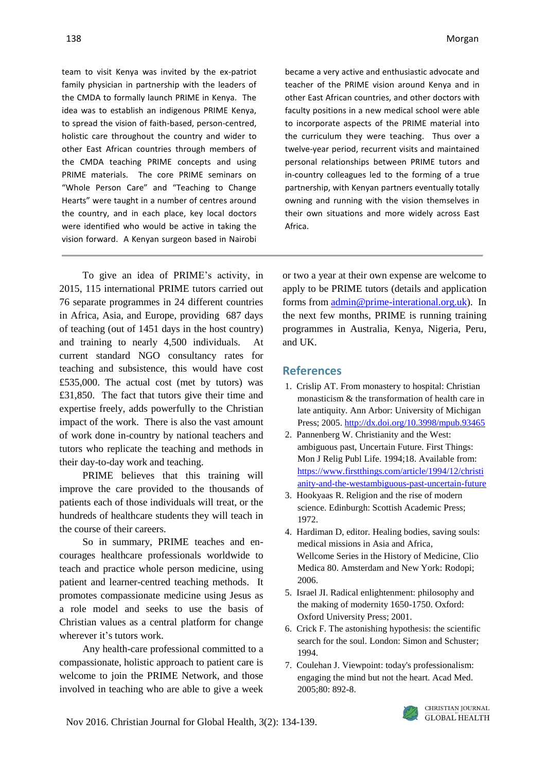team to visit Kenya was invited by the ex-patriot family physician in partnership with the leaders of the CMDA to formally launch PRIME in Kenya. The idea was to establish an indigenous PRIME Kenya, to spread the vision of faith-based, person-centred, holistic care throughout the country and wider to other East African countries through members of the CMDA teaching PRIME concepts and using PRIME materials. The core PRIME seminars on "Whole Person Care" and "Teaching to Change Hearts" were taught in a number of centres around the country, and in each place, key local doctors were identified who would be active in taking the vision forward. A Kenyan surgeon based in Nairobi

became a very active and enthusiastic advocate and teacher of the PRIME vision around Kenya and in other East African countries, and other doctors with faculty positions in a new medical school were able to incorporate aspects of the PRIME material into the curriculum they were teaching. Thus over a twelve-year period, recurrent visits and maintained personal relationships between PRIME tutors and in-country colleagues led to the forming of a true partnership, with Kenyan partners eventually totally owning and running with the vision themselves in their own situations and more widely across East Africa.

To give an idea of PRIME's activity, in 2015, 115 international PRIME tutors carried out 76 separate programmes in 24 different countries in Africa, Asia, and Europe, providing 687 days of teaching (out of 1451 days in the host country) and training to nearly 4,500 individuals. At current standard NGO consultancy rates for teaching and subsistence, this would have cost £535,000. The actual cost (met by tutors) was £31,850. The fact that tutors give their time and expertise freely, adds powerfully to the Christian impact of the work. There is also the vast amount of work done in-country by national teachers and tutors who replicate the teaching and methods in their day-to-day work and teaching.

PRIME believes that this training will improve the care provided to the thousands of patients each of those individuals will treat, or the hundreds of healthcare students they will teach in the course of their careers.

So in summary, PRIME teaches and encourages healthcare professionals worldwide to teach and practice whole person medicine, using patient and learner-centred teaching methods. It promotes compassionate medicine using Jesus as a role model and seeks to use the basis of Christian values as a central platform for change wherever it's tutors work.

Any health-care professional committed to a compassionate, holistic approach to patient care is welcome to join the PRIME Network, and those involved in teaching who are able to give a week

or two a year at their own expense are welcome to apply to be PRIME tutors (details and application forms from [admin@prime-interational.org.uk\)](mailto:admin@prime-interational.org.uk). In the next few months, PRIME is running training programmes in Australia, Kenya, Nigeria, Peru, and UK.

#### **References**

- 1. Crislip AT. From monastery to hospital: Christian monasticism & the transformation of health care in late antiquity. Ann Arbor: University of Michigan Press; 2005[. http://dx.doi.org/10.3998/mpub.93465](http://dx.doi.org/10.3998/mpub.93465)
- 2. Pannenberg W. Christianity and the West: ambiguous past, Uncertain Future. First Things: Mon J Relig Publ Life. 1994;18. Available from: [https://www.firstthings.com/article/1994/12/christi](https://www.firstthings.com/article/1994/12/christianity-and-the-westambiguous-past-uncertain-future) [anity-and-the-westambiguous-past-uncertain-future](https://www.firstthings.com/article/1994/12/christianity-and-the-westambiguous-past-uncertain-future)
- 3. Hookyaas R. Religion and the rise of modern science. Edinburgh: Scottish Academic Press; 1972.
- 4. Hardiman D, editor. Healing bodies, saving souls: medical missions in Asia and Africa*,* Wellcome Series in the History of Medicine, Clio Medica 80. Amsterdam and New York: Rodopi; 2006.
- 5. Israel JI. Radical enlightenment: philosophy and the making of modernity 1650-1750. Oxford: Oxford University Press; 2001.
- 6. Crick F. The astonishing hypothesis: the scientific search for the soul. London: Simon and Schuster; 1994.
- 7. Coulehan J. Viewpoint: today's professionalism: engaging the mind but not the heart. Acad Med. 2005;80: 892-8.